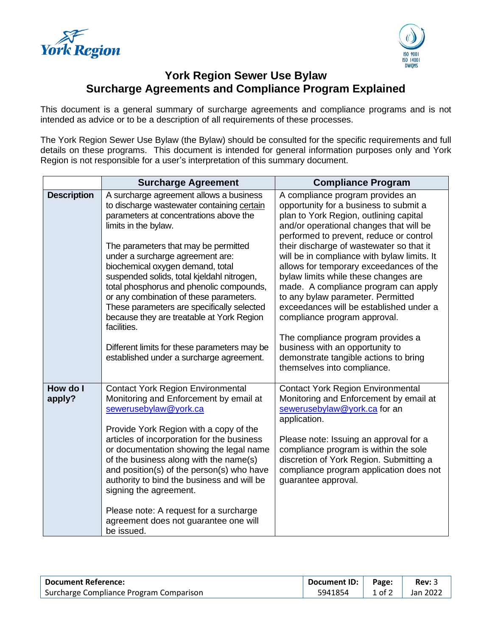



## **York Region Sewer Use Bylaw Surcharge Agreements and Compliance Program Explained**

This document is a general summary of surcharge agreements and compliance programs and is not intended as advice or to be a description of all requirements of these processes.

The York Region Sewer Use Bylaw (the Bylaw) should be consulted for the specific requirements and full details on these programs. This document is intended for general information purposes only and York Region is not responsible for a user's interpretation of this summary document.

|                    | <b>Surcharge Agreement</b>                                                                                                                                                                                                                                                                                                                                                                                                                                                                                                                                                                                         | <b>Compliance Program</b>                                                                                                                                                                                                                                                                                                                                                                                                                                                                                                                                                                                                                                                                        |
|--------------------|--------------------------------------------------------------------------------------------------------------------------------------------------------------------------------------------------------------------------------------------------------------------------------------------------------------------------------------------------------------------------------------------------------------------------------------------------------------------------------------------------------------------------------------------------------------------------------------------------------------------|--------------------------------------------------------------------------------------------------------------------------------------------------------------------------------------------------------------------------------------------------------------------------------------------------------------------------------------------------------------------------------------------------------------------------------------------------------------------------------------------------------------------------------------------------------------------------------------------------------------------------------------------------------------------------------------------------|
| <b>Description</b> | A surcharge agreement allows a business<br>to discharge wastewater containing certain<br>parameters at concentrations above the<br>limits in the bylaw.<br>The parameters that may be permitted<br>under a surcharge agreement are:<br>biochemical oxygen demand, total<br>suspended solids, total kjeldahl nitrogen,<br>total phosphorus and phenolic compounds,<br>or any combination of these parameters.<br>These parameters are specifically selected<br>because they are treatable at York Region<br>facilities.<br>Different limits for these parameters may be<br>established under a surcharge agreement. | A compliance program provides an<br>opportunity for a business to submit a<br>plan to York Region, outlining capital<br>and/or operational changes that will be<br>performed to prevent, reduce or control<br>their discharge of wastewater so that it<br>will be in compliance with bylaw limits. It<br>allows for temporary exceedances of the<br>bylaw limits while these changes are<br>made. A compliance program can apply<br>to any bylaw parameter. Permitted<br>exceedances will be established under a<br>compliance program approval.<br>The compliance program provides a<br>business with an opportunity to<br>demonstrate tangible actions to bring<br>themselves into compliance. |
| How do I<br>apply? | <b>Contact York Region Environmental</b><br>Monitoring and Enforcement by email at<br>sewerusebylaw@york.ca<br>Provide York Region with a copy of the<br>articles of incorporation for the business<br>or documentation showing the legal name<br>of the business along with the name(s)<br>and position(s) of the person(s) who have<br>authority to bind the business and will be<br>signing the agreement.<br>Please note: A request for a surcharge<br>agreement does not guarantee one will<br>be issued.                                                                                                     | <b>Contact York Region Environmental</b><br>Monitoring and Enforcement by email at<br>sewerusebylaw@york.ca for an<br>application.<br>Please note: Issuing an approval for a<br>compliance program is within the sole<br>discretion of York Region. Submitting a<br>compliance program application does not<br>guarantee approval.                                                                                                                                                                                                                                                                                                                                                               |

| <b>Document Reference:</b>              | $\, \cdot \,$ Document ID: $\, \cdot \,$ | Page:  | Rev: 3   |
|-----------------------------------------|------------------------------------------|--------|----------|
| Surcharge Compliance Program Comparison | 5941854                                  | 1 of 2 | Jan 2022 |